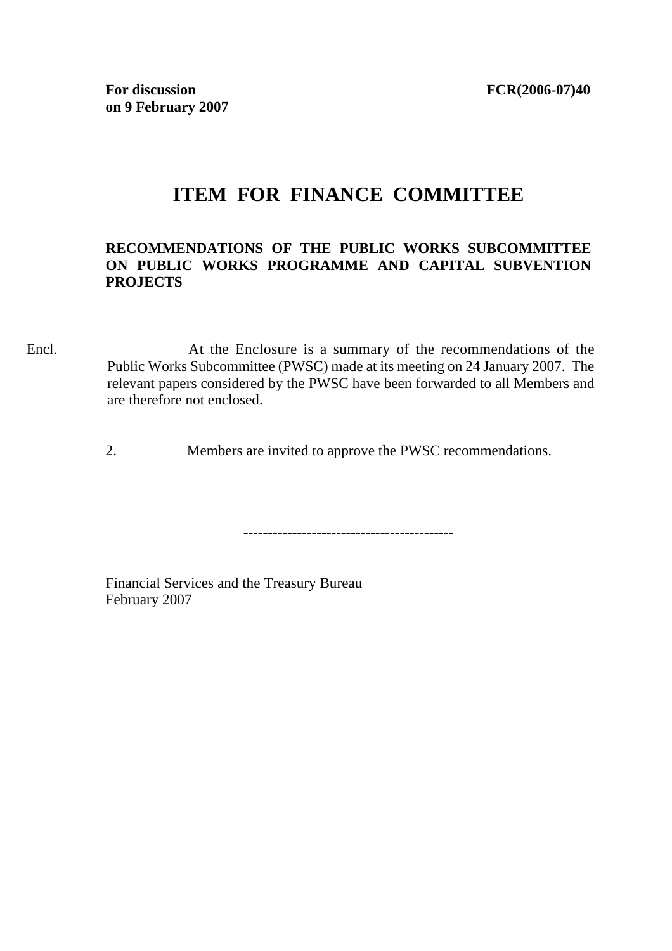## **ITEM FOR FINANCE COMMITTEE**

## **RECOMMENDATIONS OF THE PUBLIC WORKS SUBCOMMITTEE ON PUBLIC WORKS PROGRAMME AND CAPITAL SUBVENTION PROJECTS**

Encl. At the Enclosure is a summary of the recommendations of the Public Works Subcommittee (PWSC) made at its meeting on 24 January 2007. The relevant papers considered by the PWSC have been forwarded to all Members and are therefore not enclosed.

2. Members are invited to approve the PWSC recommendations.

-------------------------------------------

Financial Services and the Treasury Bureau February 2007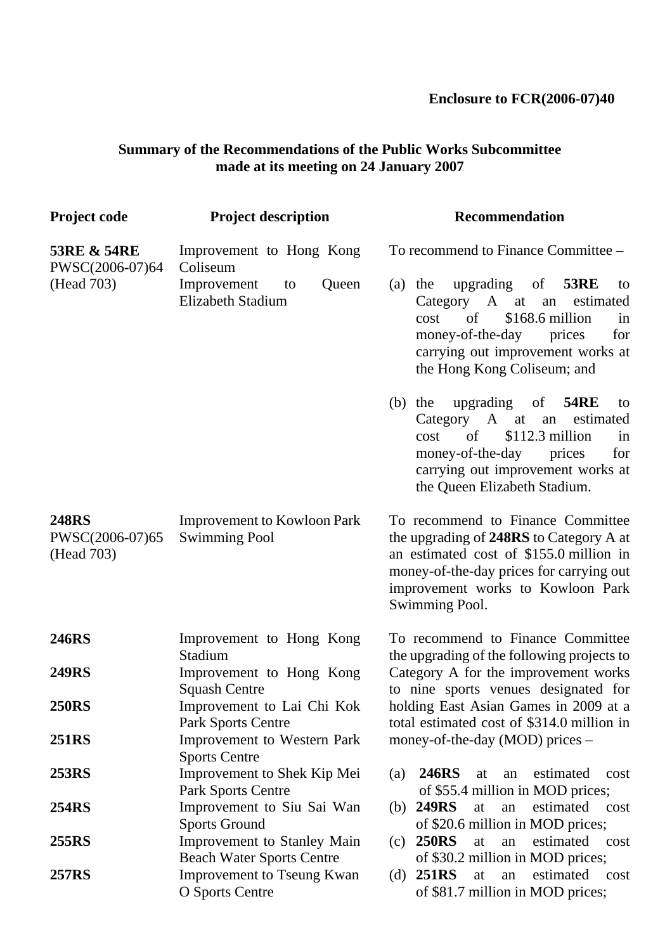## **Enclosure to FCR(2006-07)40**

## **Summary of the Recommendations of the Public Works Subcommittee made at its meeting on 24 January 2007**

| <b>Project code</b>                                     | <b>Project description</b>                                             | <b>Recommendation</b>                                                                                                                                                                                                                         |
|---------------------------------------------------------|------------------------------------------------------------------------|-----------------------------------------------------------------------------------------------------------------------------------------------------------------------------------------------------------------------------------------------|
| <b>53RE &amp; 54RE</b><br>PWSC(2006-07)64<br>(Head 703) | Improvement to Hong Kong<br>Coliseum                                   | To recommend to Finance Committee –                                                                                                                                                                                                           |
|                                                         | Improvement<br>Queen<br>to<br><b>Elizabeth Stadium</b>                 | upgrading<br><b>53RE</b><br>$\sigma f$<br>$(a)$ the<br>to<br>Category A at<br>estimated<br>an<br>\$168.6 million<br>of<br>cost<br>in<br>money-of-the-day<br>for<br>prices<br>carrying out improvement works at<br>the Hong Kong Coliseum; and |
|                                                         |                                                                        | upgrading of<br><b>54RE</b><br>$(b)$ the<br>to<br>Category A at<br>estimated<br>an<br>of<br>$$112.3$ million<br>cost<br>in<br>money-of-the-day<br>prices<br>for<br>carrying out improvement works at<br>the Queen Elizabeth Stadium.          |
| <b>248RS</b><br>PWSC(2006-07)65<br>(Head 703)           | <b>Improvement to Kowloon Park</b><br><b>Swimming Pool</b>             | To recommend to Finance Committee<br>the upgrading of 248RS to Category A at<br>an estimated cost of \$155.0 million in<br>money-of-the-day prices for carrying out<br>improvement works to Kowloon Park<br>Swimming Pool.                    |
| <b>246RS</b>                                            | Improvement to Hong Kong<br>Stadium                                    | To recommend to Finance Committee<br>the upgrading of the following projects to                                                                                                                                                               |
| <b>249RS</b>                                            | Improvement to Hong Kong<br><b>Squash Centre</b>                       | Category A for the improvement works<br>to nine sports venues designated for                                                                                                                                                                  |
| <b>250RS</b>                                            | Improvement to Lai Chi Kok<br>Park Sports Centre                       | holding East Asian Games in 2009 at a<br>total estimated cost of \$314.0 million in                                                                                                                                                           |
| <b>251RS</b>                                            | <b>Improvement to Western Park</b><br><b>Sports Centre</b>             | money-of-the-day (MOD) prices –                                                                                                                                                                                                               |
| <b>253RS</b>                                            | Improvement to Shek Kip Mei<br>Park Sports Centre                      | <b>246RS</b><br>estimated<br>(a)<br>at<br>an<br>cost<br>of \$55.4 million in MOD prices;                                                                                                                                                      |
| <b>254RS</b>                                            | Improvement to Siu Sai Wan<br><b>Sports Ground</b>                     | <b>249RS</b><br>estimated<br>at<br>an<br>(b)<br>cost<br>of \$20.6 million in MOD prices;                                                                                                                                                      |
| 255RS                                                   | <b>Improvement to Stanley Main</b><br><b>Beach Water Sports Centre</b> | <b>250RS</b><br>estimated<br>(c)<br>at<br>cost<br>an<br>of \$30.2 million in MOD prices;                                                                                                                                                      |
| <b>257RS</b>                                            | <b>Improvement to Tseung Kwan</b><br><b>O</b> Sports Centre            | <b>251RS</b><br>estimated<br>at<br>(d)<br>an<br>cost<br>of \$81.7 million in MOD prices;                                                                                                                                                      |